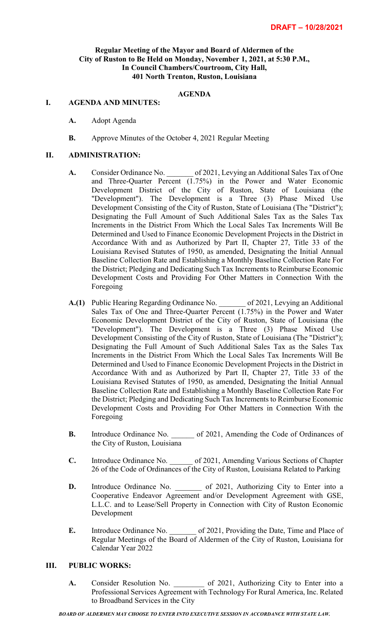## **Regular Meeting of the Mayor and Board of Aldermen of the City of Ruston to Be Held on Monday, November 1, 2021, at 5:30 P.M., In Council Chambers/Courtroom, City Hall, 401 North Trenton, Ruston, Louisiana**

# **AGENDA**

#### **I. AGENDA AND MINUTES:**

- **A.** Adopt Agenda
- **B.** Approve Minutes of the October 4, 2021 Regular Meeting

#### **II. ADMINISTRATION:**

- A. Consider Ordinance No.  $\qquad \qquad$  of 2021, Levying an Additional Sales Tax of One and Three-Quarter Percent (1.75%) in the Power and Water Economic Development District of the City of Ruston, State of Louisiana (the "Development"). The Development is a Three (3) Phase Mixed Use Development Consisting of the City of Ruston, State of Louisiana (The "District"); Designating the Full Amount of Such Additional Sales Tax as the Sales Tax Increments in the District From Which the Local Sales Tax Increments Will Be Determined and Used to Finance Economic Development Projects in the District in Accordance With and as Authorized by Part II, Chapter 27, Title 33 of the Louisiana Revised Statutes of 1950, as amended, Designating the Initial Annual Baseline Collection Rate and Establishing a Monthly Baseline Collection Rate For the District; Pledging and Dedicating Such Tax Increments to Reimburse Economic Development Costs and Providing For Other Matters in Connection With the Foregoing
- **A.(1)** Public Hearing Regarding Ordinance No. \_\_\_\_\_\_\_ of 2021, Levying an Additional Sales Tax of One and Three-Quarter Percent (1.75%) in the Power and Water Economic Development District of the City of Ruston, State of Louisiana (the "Development"). The Development is a Three (3) Phase Mixed Use Development Consisting of the City of Ruston, State of Louisiana (The "District"); Designating the Full Amount of Such Additional Sales Tax as the Sales Tax Increments in the District From Which the Local Sales Tax Increments Will Be Determined and Used to Finance Economic Development Projects in the District in Accordance With and as Authorized by Part II, Chapter 27, Title 33 of the Louisiana Revised Statutes of 1950, as amended, Designating the Initial Annual Baseline Collection Rate and Establishing a Monthly Baseline Collection Rate For the District; Pledging and Dedicating Such Tax Increments to Reimburse Economic Development Costs and Providing For Other Matters in Connection With the Foregoing
- **B.** Introduce Ordinance No. of 2021, Amending the Code of Ordinances of the City of Ruston, Louisiana
- **C.** Introduce Ordinance No.  $\qquad \qquad$  of 2021, Amending Various Sections of Chapter 26 of the Code of Ordinances of the City of Ruston, Louisiana Related to Parking
- **D.** Introduce Ordinance No. \_\_\_\_\_\_\_\_ of 2021, Authorizing City to Enter into a Cooperative Endeavor Agreement and/or Development Agreement with GSE, L.L.C. and to Lease/Sell Property in Connection with City of Ruston Economic Development
- **E.** Introduce Ordinance No. of 2021, Providing the Date, Time and Place of Regular Meetings of the Board of Aldermen of the City of Ruston, Louisiana for Calendar Year 2022

### **III. PUBLIC WORKS:**

A. Consider Resolution No. 65 2021, Authorizing City to Enter into a Professional Services Agreement with Technology For Rural America, Inc. Related to Broadband Services in the City